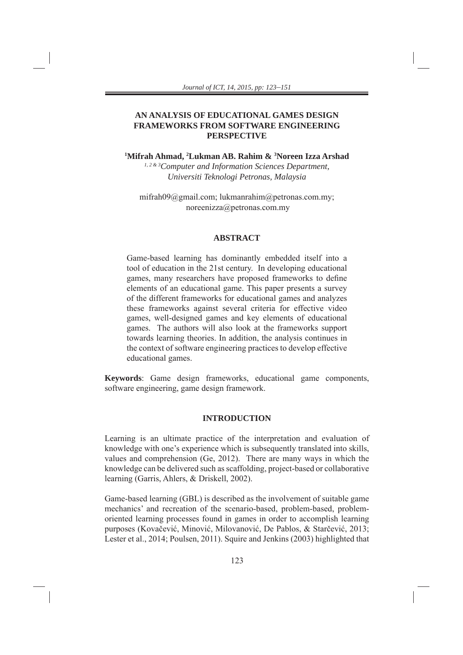# **AN ANALYSIS OF EDUCATIONAL GAMES DESIGN FRAMEWORKS FROM SOFTWARE ENGINEERING PERSPECTIVE**

**1 Mifrah Ahmad, 2 Lukman AB. Rahim & 3 Noreen Izza Arshad** *1, 2 & 3Computer and Information Sciences Department, Universiti Teknologi Petronas, Malaysia*

mifrah09@gmail.com; lukmanrahim@petronas.com.my; noreenizza@petronas.com.my

### **ABSTRACT**

Game-based learning has dominantly embedded itself into a tool of education in the 21st century. In developing educational games, many researchers have proposed frameworks to define elements of an educational game. This paper presents a survey of the different frameworks for educational games and analyzes these frameworks against several criteria for effective video games, well-designed games and key elements of educational games. The authors will also look at the frameworks support towards learning theories. In addition, the analysis continues in the context of software engineering practices to develop effective educational games.

**Keywords**: Game design frameworks, educational game components, software engineering, game design framework.

# **INTRODUCTION**

Learning is an ultimate practice of the interpretation and evaluation of knowledge with one's experience which is subsequently translated into skills, values and comprehension (Ge, 2012). There are many ways in which the knowledge can be delivered such as scaffolding, project-based or collaborative learning (Garris, Ahlers, & Driskell, 2002).

Game-based learning (GBL) is described as the involvement of suitable game mechanics' and recreation of the scenario-based, problem-based, problemoriented learning processes found in games in order to accomplish learning purposes (Kovačević, Minović, Milovanović, De Pablos, & Starčević, 2013; Lester et al., 2014; Poulsen, 2011). Squire and Jenkins (2003) highlighted that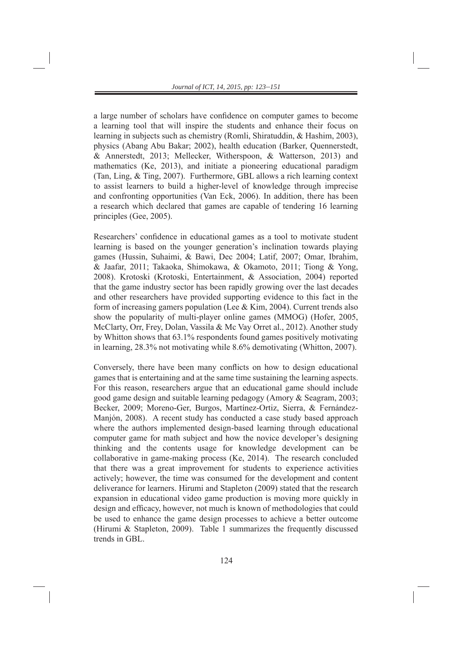a large number of scholars have confidence on computer games to become a learning tool that will inspire the students and enhance their focus on learning in subjects such as chemistry (Romli, Shiratuddin, & Hashim, 2003), physics (Abang Abu Bakar; 2002), health education (Barker, Quennerstedt, & Annerstedt, 2013; Mellecker, Witherspoon, & Watterson, 2013) and mathematics (Ke, 2013), and initiate a pioneering educational paradigm (Tan, Ling, & Ting, 2007). Furthermore, GBL allows a rich learning context to assist learners to build a higher-level of knowledge through imprecise and confronting opportunities (Van Eck, 2006). In addition, there has been a research which declared that games are capable of tendering 16 learning principles (Gee, 2005).

Researchers' confidence in educational games as a tool to motivate student learning is based on the younger generation's inclination towards playing games (Hussin, Suhaimi, & Bawi, Dec 2004; Latif, 2007; Omar, Ibrahim, & Jaafar, 2011; Takaoka, Shimokawa, & Okamoto, 2011; Tiong & Yong, 2008). Krotoski (Krotoski, Entertainment, & Association, 2004) reported that the game industry sector has been rapidly growing over the last decades and other researchers have provided supporting evidence to this fact in the form of increasing gamers population (Lee  $& Kim, 2004$ ). Current trends also show the popularity of multi-player online games (MMOG) (Hofer, 2005, McClarty, Orr, Frey, Dolan, Vassila & Mc Vay Orret al., 2012). Another study by Whitton shows that 63.1% respondents found games positively motivating in learning, 28.3% not motivating while 8.6% demotivating (Whitton, 2007).

Conversely, there have been many conflicts on how to design educational games that is entertaining and at the same time sustaining the learning aspects. For this reason, researchers argue that an educational game should include good game design and suitable learning pedagogy (Amory & Seagram, 2003; Becker, 2009; Moreno-Ger, Burgos, Martínez-Ortiz, Sierra, & Fernández-Manjón, 2008). A recent study has conducted a case study based approach where the authors implemented design-based learning through educational computer game for math subject and how the novice developer's designing thinking and the contents usage for knowledge development can be collaborative in game-making process (Ke, 2014). The research concluded that there was a great improvement for students to experience activities actively; however, the time was consumed for the development and content deliverance for learners. Hirumi and Stapleton (2009) stated that the research expansion in educational video game production is moving more quickly in design and efficacy, however, not much is known of methodologies that could be used to enhance the game design processes to achieve a better outcome (Hirumi & Stapleton, 2009). Table 1 summarizes the frequently discussed trends in GBL.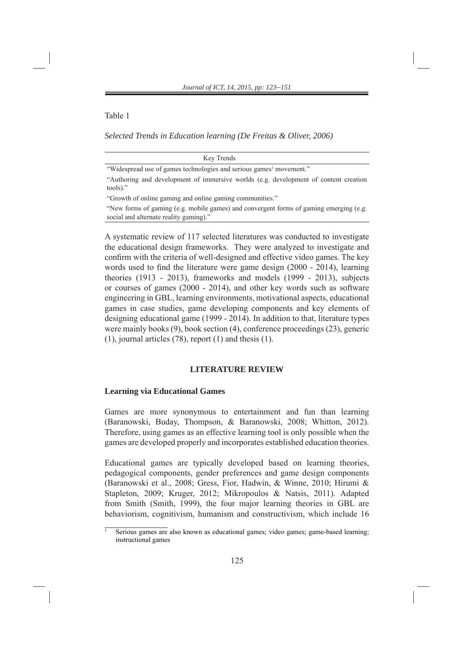Table 1

*Selected Trends in Education learning (De Freitas & Oliver, 2006)*

| Key Trends                                                                                                                       |
|----------------------------------------------------------------------------------------------------------------------------------|
| "Widespread use of games technologies and serious games <sup>1</sup> movement."                                                  |
| "Authoring and development of immersive worlds (e.g. development of content creation<br>tools)."                                 |
| "Growth of online gaming and online gaming communities."                                                                         |
| "New forms of gaming (e.g. mobile games) and convergent forms of gaming emerging (e.g.<br>social and alternate reality gaming)." |

A systematic review of 117 selected literatures was conducted to investigate the educational design frameworks. They were analyzed to investigate and confirm with the criteria of well-designed and effective video games. The key words used to find the literature were game design (2000 - 2014), learning theories (1913 - 2013), frameworks and models (1999 - 2013), subjects or courses of games (2000 - 2014), and other key words such as software engineering in GBL, learning environments, motivational aspects, educational games in case studies, game developing components and key elements of designing educational game (1999 - 2014). In addition to that, literature types were mainly books (9), book section (4), conference proceedings (23), generic (1), journal articles (78), report (1) and thesis (1).

## **LITERATURE REVIEW**

### **Learning via Educational Games**

1

Games are more synonymous to entertainment and fun than learning (Baranowski, Buday, Thompson, & Baranowski, 2008; Whitton, 2012). Therefore, using games as an effective learning tool is only possible when the games are developed properly and incorporates established education theories.

Educational games are typically developed based on learning theories, pedagogical components, gender preferences and game design components (Baranowski et al., 2008; Gress, Fior, Hadwin, & Winne, 2010; Hirumi & Stapleton, 2009; Kruger, 2012; Mikropoulos & Natsis, 2011). Adapted from Smith (Smith, 1999), the four major learning theories in GBL are behaviorism, cognitivism, humanism and constructivism, which include 16

Serious games are also known as educational games; video games; game-based learning; instructional games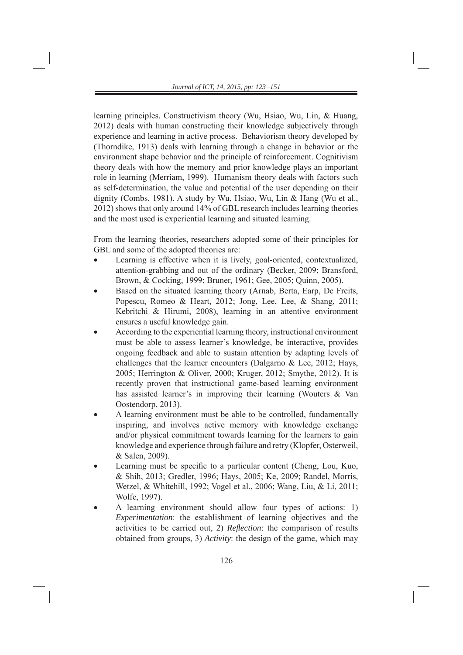learning principles. Constructivism theory (Wu, Hsiao, Wu, Lin, & Huang, 2012) deals with human constructing their knowledge subjectively through experience and learning in active process. Behaviorism theory developed by (Thorndike, 1913) deals with learning through a change in behavior or the environment shape behavior and the principle of reinforcement. Cognitivism theory deals with how the memory and prior knowledge plays an important role in learning (Merriam, 1999). Humanism theory deals with factors such as self-determination, the value and potential of the user depending on their dignity (Combs, 1981). A study by Wu, Hsiao, Wu, Lin & Hang (Wu et al., 2012) shows that only around 14% of GBL research includes learning theories and the most used is experiential learning and situated learning.

From the learning theories, researchers adopted some of their principles for GBL and some of the adopted theories are:

- Learning is effective when it is lively, goal-oriented, contextualized, attention-grabbing and out of the ordinary (Becker, 2009; Bransford, Brown, & Cocking, 1999; Bruner, 1961; Gee, 2005; Quinn, 2005).
- Based on the situated learning theory (Arnab, Berta, Earp, De Freits, Popescu, Romeo & Heart, 2012; Jong, Lee, Lee, & Shang, 2011; Kebritchi & Hirumi, 2008), learning in an attentive environment ensures a useful knowledge gain.
- According to the experiential learning theory, instructional environment must be able to assess learner's knowledge, be interactive, provides ongoing feedback and able to sustain attention by adapting levels of challenges that the learner encounters (Dalgarno  $\&$  Lee, 2012; Hays, 2005; Herrington & Oliver, 2000; Kruger, 2012; Smythe, 2012). It is recently proven that instructional game-based learning environment has assisted learner's in improving their learning (Wouters & Van Oostendorp, 2013).
- A learning environment must be able to be controlled, fundamentally inspiring, and involves active memory with knowledge exchange and/or physical commitment towards learning for the learners to gain knowledge and experience through failure and retry (Klopfer, Osterweil, & Salen, 2009).
- Learning must be specific to a particular content (Cheng, Lou, Kuo, & Shih, 2013; Gredler, 1996; Hays, 2005; Ke, 2009; Randel, Morris, Wetzel, & Whitehill, 1992; Vogel et al., 2006; Wang, Liu, & Li, 2011; Wolfe, 1997).
- A learning environment should allow four types of actions: 1) *Experimentation*: the establishment of learning objectives and the activities to be carried out, 2) *Reflection*: the comparison of results obtained from groups, 3) *Activity*: the design of the game, which may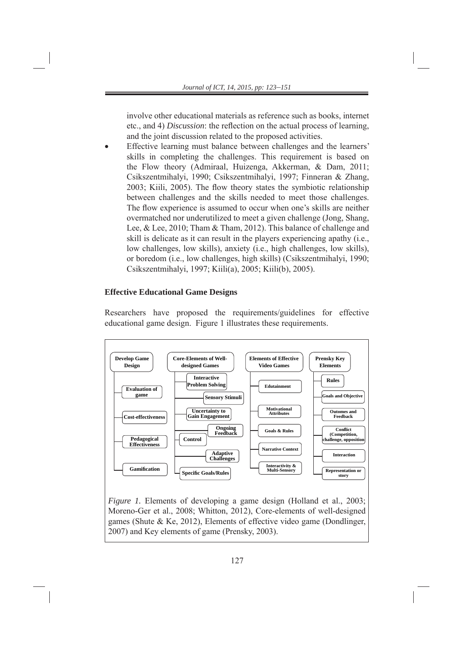involve other educational materials as reference such as books, internet etc., and 4) *Discussion*: the reflection on the actual process of learning, and the joint discussion related to the proposed activities.

 Effective learning must balance between challenges and the learners' skills in completing the challenges. This requirement is based on the Flow theory (Admiraal, Huizenga, Akkerman, & Dam, 2011; Csikszentmihalyi, 1990; Csikszentmihalyi, 1997; Finneran & Zhang, 2003; Kiili, 2005). The flow theory states the symbiotic relationship between challenges and the skills needed to meet those challenges. The flow experience is assumed to occur when one's skills are neither overmatched nor underutilized to meet a given challenge (Jong, Shang, Lee, & Lee, 2010; Tham & Tham, 2012). This balance of challenge and skill is delicate as it can result in the players experiencing apathy (i.e., low challenges, low skills), anxiety (i.e., high challenges, low skills), or boredom (i.e., low challenges, high skills) (Csikszentmihalyi, 1990; Csikszentmihalyi, 1997; Kiili(a), 2005; Kiili(b), 2005).

# **Effective Educational Game Designs**

Researchers have proposed the requirements/guidelines for effective educational game design. Figure 1 illustrates these requirements.

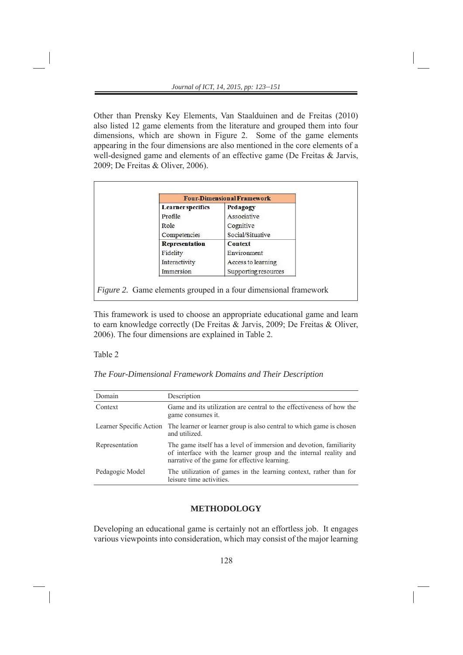Other than Prensky Key Elements, Van Staalduinen and de Freitas (2010) also listed 12 game elements from the literature and grouped them into four dimensions, which are shown in Figure 2. Some of the game elements appearing in the four dimensions are also mentioned in the core elements of a well-designed game and elements of an effective game (De Freitas & Jarvis, 2009; De Freitas & Oliver, 2006).

| <b>Learner</b> specifics<br>Pedagogy |                      |  |  |  |  |  |  |
|--------------------------------------|----------------------|--|--|--|--|--|--|
| Profile                              | Associative          |  |  |  |  |  |  |
| Role                                 | Cognitive            |  |  |  |  |  |  |
| Competencies                         | Social/Situative     |  |  |  |  |  |  |
| Representation                       | Context              |  |  |  |  |  |  |
| Fidelity                             | Environment          |  |  |  |  |  |  |
| Interactivity                        | Access to learning   |  |  |  |  |  |  |
| Immersion                            | Supporting resources |  |  |  |  |  |  |

This framework is used to choose an appropriate educational game and learn to earn knowledge correctly (De Freitas & Jarvis, 2009; De Freitas & Oliver, 2006). The four dimensions are explained in Table 2.

#### Table 2

*The Four-Dimensional Framework Domains and Their Description*

| Domain                  | Description                                                                                                                                                                             |
|-------------------------|-----------------------------------------------------------------------------------------------------------------------------------------------------------------------------------------|
| Context                 | Game and its utilization are central to the effectiveness of how the<br>game consumes it.                                                                                               |
| Learner Specific Action | The learner or learner group is also central to which game is chosen<br>and utilized.                                                                                                   |
| Representation          | The game itself has a level of immersion and devotion, familiarity<br>of interface with the learner group and the internal reality and<br>narrative of the game for effective learning. |
| Pedagogic Model         | The utilization of games in the learning context, rather than for<br>leisure time activities.                                                                                           |

## **METHODOLOGY**

Developing an educational game is certainly not an effortless job. It engages various viewpoints into consideration, which may consist of the major learning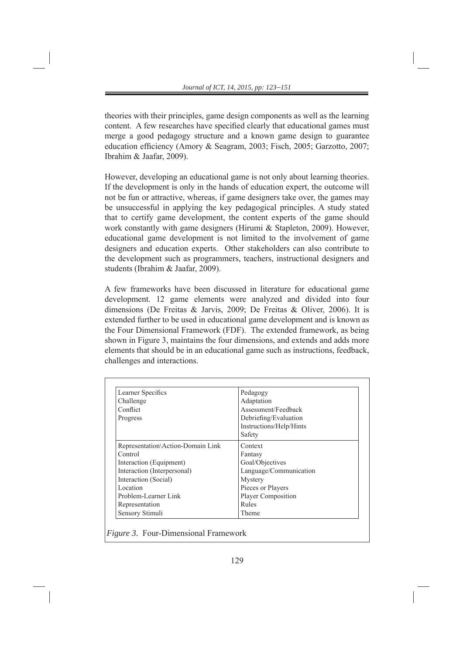theories with their principles, game design components as well as the learning content. A few researches have specified clearly that educational games must merge a good pedagogy structure and a known game design to guarantee education efficiency (Amory & Seagram, 2003; Fisch, 2005; Garzotto, 2007; Ibrahim & Jaafar, 2009).

However, developing an educational game is not only about learning theories. If the development is only in the hands of education expert, the outcome will not be fun or attractive, whereas, if game designers take over, the games may be unsuccessful in applying the key pedagogical principles. A study stated that to certify game development, the content experts of the game should work constantly with game designers (Hirumi & Stapleton, 2009). However, educational game development is not limited to the involvement of game designers and education experts. Other stakeholders can also contribute to the development such as programmers, teachers, instructional designers and students (Ibrahim & Jaafar, 2009).

A few frameworks have been discussed in literature for educational game development. 12 game elements were analyzed and divided into four dimensions (De Freitas & Jarvis, 2009; De Freitas & Oliver, 2006). It is extended further to be used in educational game development and is known as the Four Dimensional Framework (FDF). The extended framework, as being shown in Figure 3, maintains the four dimensions, and extends and adds more elements that should be in an educational game such as instructions, feedback, challenges and interactions.

| Learner Specifics                 | Pedagogy                |
|-----------------------------------|-------------------------|
| Challenge                         | Adaptation              |
| Conflict                          | Assessment/Feedback     |
| Progress                          | Debriefing/Evaluation   |
|                                   | Instructions/Help/Hints |
|                                   | Safety                  |
| Representation\Action-Domain Link | Context                 |
| Control                           | Fantasy                 |
| Interaction (Equipment)           | Goal/Objectives         |
| Interaction (Interpersonal)       | Language/Communication  |
| Interaction (Social)              | Mystery                 |
| Location                          | Pieces or Players       |
| Problem-Learner Link              | Player Composition      |
| Representation                    | Rules                   |
| Sensory Stimuli                   | Theme                   |

 *Figure 3.* Four-Dimensional Framework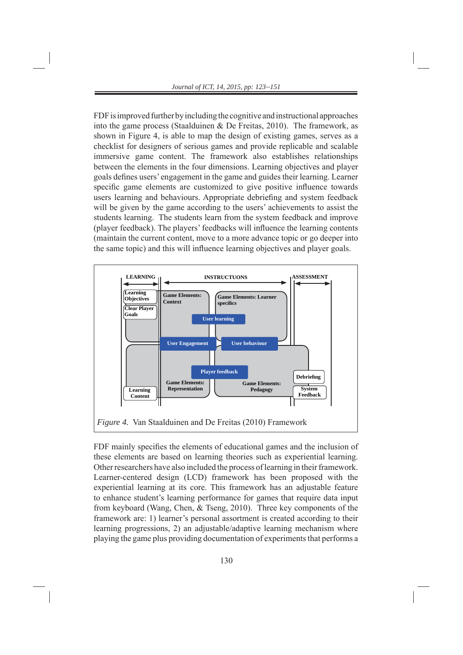FDF is improved further by including the cognitive and instructional approaches into the game process (Staalduinen & De Freitas, 2010). The framework, as shown in Figure 4, is able to map the design of existing games, serves as a checklist for designers of serious games and provide replicable and scalable immersive game content. The framework also establishes relationships between the elements in the four dimensions. Learning objectives and player goals defines users' engagement in the game and guides their learning. Learner specific game elements are customized to give positive influence towards users learning and behaviours. Appropriate debriefing and system feedback will be given by the game according to the users' achievements to assist the students learning. The students learn from the system feedback and improve (player feedback). The players' feedbacks will influence the learning contents (maintain the current content, move to a more advance topic or go deeper into the same topic) and this will influence learning objectives and player goals.



FDF mainly specifies the elements of educational games and the inclusion of these elements are based on learning theories such as experiential learning. Other researchers have also included the process of learning in their framework. Learner-centered design (LCD) framework has been proposed with the experiential learning at its core. This framework has an adjustable feature to enhance student's learning performance for games that require data input from keyboard (Wang, Chen, & Tseng, 2010). Three key components of the framework are: 1) learner's personal assortment is created according to their learning progressions, 2) an adjustable/adaptive learning mechanism where playing the game plus providing documentation of experiments that performs a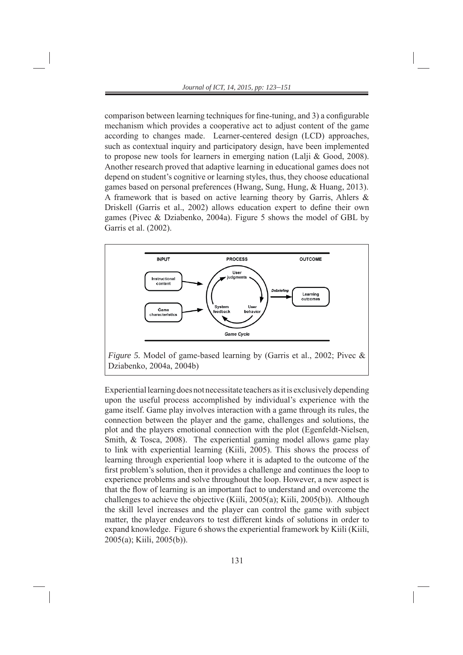comparison between learning techniques for fine-tuning, and 3) a configurable mechanism which provides a cooperative act to adjust content of the game according to changes made. Learner-centered design (LCD) approaches, such as contextual inquiry and participatory design, have been implemented to propose new tools for learners in emerging nation (Lalji & Good, 2008). Another research proved that adaptive learning in educational games does not depend on student's cognitive or learning styles, thus, they choose educational games based on personal preferences (Hwang, Sung, Hung, & Huang, 2013). A framework that is based on active learning theory by Garris, Ahlers & Driskell (Garris et al., 2002) allows education expert to define their own games (Pivec & Dziabenko, 2004a). Figure 5 shows the model of GBL by Garris et al. (2002).



Experiential learning does not necessitate teachers as it is exclusively depending upon the useful process accomplished by individual's experience with the game itself. Game play involves interaction with a game through its rules, the connection between the player and the game, challenges and solutions, the plot and the players emotional connection with the plot (Egenfeldt-Nielsen, Smith, & Tosca, 2008). The experiential gaming model allows game play to link with experiential learning (Kiili, 2005). This shows the process of learning through experiential loop where it is adapted to the outcome of the first problem's solution, then it provides a challenge and continues the loop to experience problems and solve throughout the loop. However, a new aspect is that the flow of learning is an important fact to understand and overcome the challenges to achieve the objective (Kiili, 2005(a); Kiili, 2005(b)). Although the skill level increases and the player can control the game with subject matter, the player endeavors to test different kinds of solutions in order to expand knowledge. Figure 6 shows the experiential framework by Kiili (Kiili, 2005(a); Kiili, 2005(b)).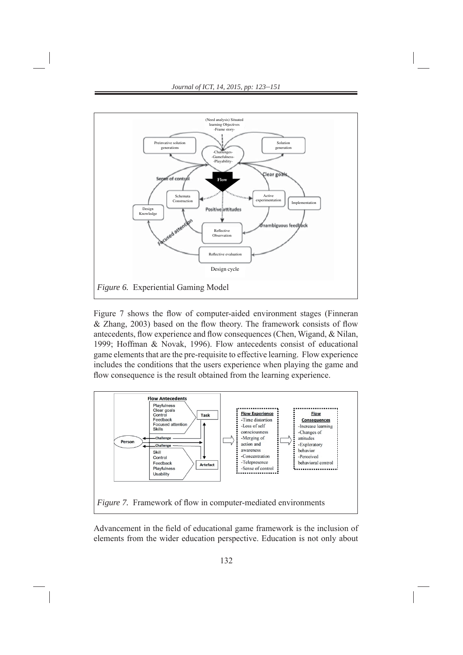

Figure 7 shows the flow of computer-aided environment stages (Finneran  $&$  Zhang, 2003) based on the flow theory. The framework consists of flow antecedents, flow experience and flow consequences (Chen, Wigand, & Nilan, 1999; Hoffman & Novak, 1996). Flow antecedents consist of educational game elements that are the pre-requisite to effective learning. Flow experience includes the conditions that the users experience when playing the game and flow consequence is the result obtained from the learning experience.



Advancement in the field of educational game framework is the inclusion of elements from the wider education perspective. Education is not only about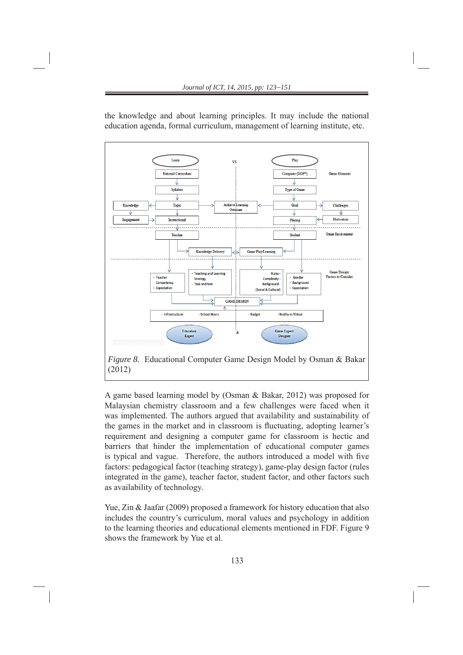

the knowledge and about learning principles. It may include the national education agenda, formal curriculum, management of learning institute, etc.

A game based learning model by (Osman & Bakar, 2012) was proposed for Malaysian chemistry classroom and a few challenges were faced when it was implemented. The authors argued that availability and sustainability of the games in the market and in classroom is fluctuating, adopting learner's requirement and designing a computer game for classroom is hectic and barriers that hinder the implementation of educational computer games is typical and vague. Therefore, the authors introduced a model with five factors: pedagogical factor (teaching strategy), game-play design factor (rules integrated in the game), teacher factor, student factor, and other factors such as availability of technology.

Yue, Zin & Jaafar (2009) proposed a framework for history education that also includes the country's curriculum, moral values and psychology in addition to the learning theories and educational elements mentioned in FDF. Figure 9 shows the framework by Yue et al.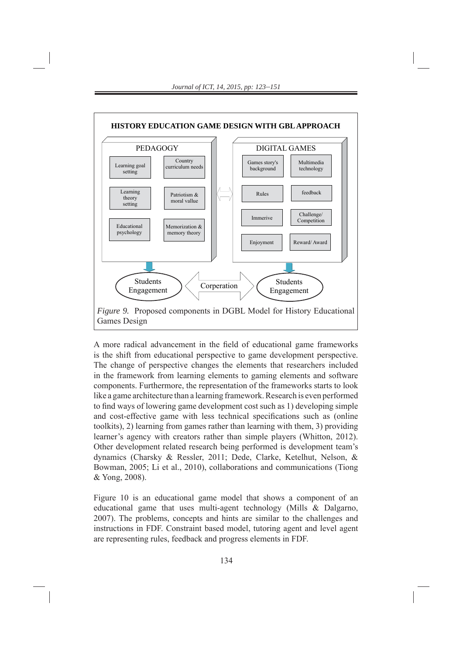

A more radical advancement in the field of educational game frameworks is the shift from educational perspective to game development perspective. The change of perspective changes the elements that researchers included in the framework from learning elements to gaming elements and software components. Furthermore, the representation of the frameworks starts to look like a game architecture than a learning framework. Research is even performed to find ways of lowering game development cost such as 1) developing simple and cost-effective game with less technical specifications such as (online toolkits), 2) learning from games rather than learning with them, 3) providing learner's agency with creators rather than simple players (Whitton, 2012). Other development related research being performed is development team's dynamics (Charsky & Ressler, 2011; Dede, Clarke, Ketelhut, Nelson, & Bowman, 2005; Li et al., 2010), collaborations and communications (Tiong & Yong, 2008).

Figure 10 is an educational game model that shows a component of an educational game that uses multi-agent technology (Mills & Dalgarno, 2007). The problems, concepts and hints are similar to the challenges and instructions in FDF. Constraint based model, tutoring agent and level agent are representing rules, feedback and progress elements in FDF.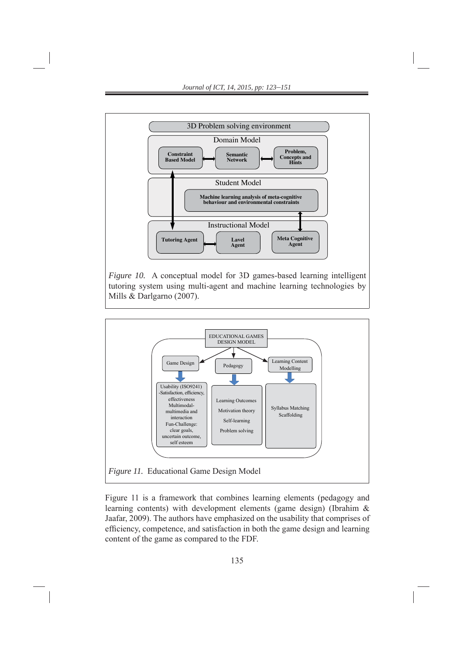

*Figure 10.* A conceptual model for 3D games-based learning intelligent tutoring system using multi-agent and machine learning technologies by Mills & Darlgarno (2007).



Figure 11 is a framework that combines learning elements (pedagogy and learning contents) with development elements (game design) (Ibrahim & Jaafar, 2009). The authors have emphasized on the usability that comprises of efficiency, competence, and satisfaction in both the game design and learning content of the game as compared to the FDF.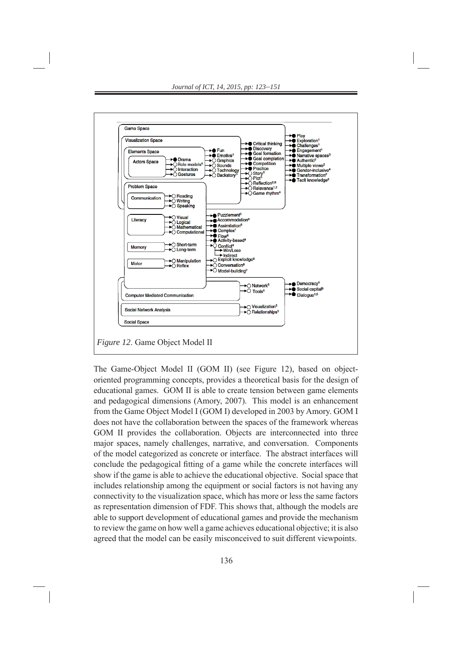

The Game-Object Model II (GOM II) (see Figure 12), based on objectoriented programming concepts, provides a theoretical basis for the design of educational games. GOM II is able to create tension between game elements and pedagogical dimensions (Amory, 2007). This model is an enhancement from the Game Object Model I (GOM I) developed in 2003 by Amory. GOM I does not have the collaboration between the spaces of the framework whereas GOM II provides the collaboration. Objects are interconnected into three major spaces, namely challenges, narrative, and conversation. Components of the model categorized as concrete or interface. The abstract interfaces will conclude the pedagogical fitting of a game while the concrete interfaces will show if the game is able to achieve the educational objective. Social space that includes relationship among the equipment or social factors is not having any connectivity to the visualization space, which has more or less the same factors as representation dimension of FDF. This shows that, although the models are able to support development of educational games and provide the mechanism to review the game on how well a game achieves educational objective; it is also agreed that the model can be easily misconceived to suit different viewpoints.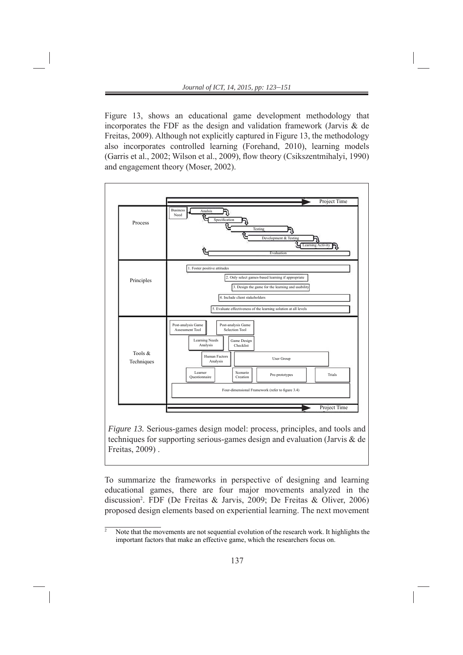Figure 13, shows an educational game development methodology that incorporates the FDF as the design and validation framework (Jarvis  $\&$  de Freitas, 2009). Although not explicitly captured in Figure 13, the methodology also incorporates controlled learning (Forehand, 2010), learning models (Garris et al., 2002; Wilson et al., 2009), flow theory (Csikszentmihalyi, 1990) and engagement theory (Moser, 2002).



*Figure 13.* Serious-games design model: process, principles, and tools and techniques for supporting serious-games design and evaluation (Jarvis & de Freitas, 2009) .

To summarize the frameworks in perspective of designing and learning educational games, there are four major movements analyzed in the discussion2 . FDF (De Freitas & Jarvis, 2009; De Freitas & Oliver, 2006) proposed design elements based on experiential learning. The next movement

 $\overline{2}$  Note that the movements are not sequential evolution of the research work. It highlights the important factors that make an effective game, which the researchers focus on.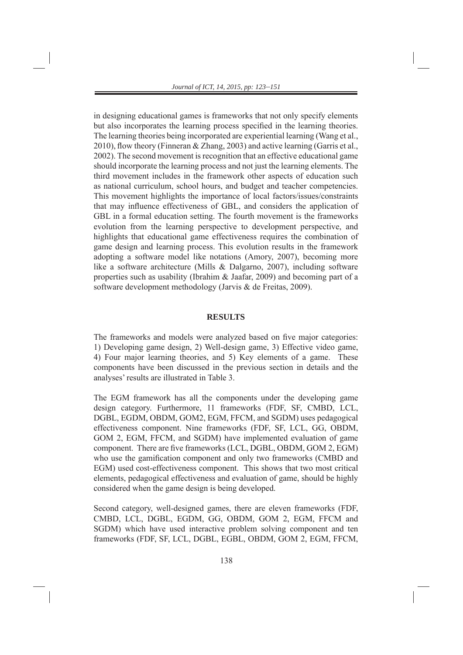in designing educational games is frameworks that not only specify elements but also incorporates the learning process specified in the learning theories. The learning theories being incorporated are experiential learning (Wang et al., 2010), flow theory (Finneran & Zhang, 2003) and active learning (Garris et al., 2002). The second movement is recognition that an effective educational game should incorporate the learning process and not just the learning elements. The third movement includes in the framework other aspects of education such as national curriculum, school hours, and budget and teacher competencies. This movement highlights the importance of local factors/issues/constraints that may influence effectiveness of GBL, and considers the application of GBL in a formal education setting. The fourth movement is the frameworks evolution from the learning perspective to development perspective, and highlights that educational game effectiveness requires the combination of game design and learning process. This evolution results in the framework adopting a software model like notations (Amory, 2007), becoming more like a software architecture (Mills & Dalgarno, 2007), including software properties such as usability (Ibrahim & Jaafar, 2009) and becoming part of a software development methodology (Jarvis & de Freitas, 2009).

#### **RESULTS**

The frameworks and models were analyzed based on five major categories: 1) Developing game design, 2) Well-design game, 3) Effective video game, 4) Four major learning theories, and 5) Key elements of a game. These components have been discussed in the previous section in details and the analyses' results are illustrated in Table 3.

The EGM framework has all the components under the developing game design category. Furthermore, 11 frameworks (FDF, SF, CMBD, LCL, DGBL, EGDM, OBDM, GOM2, EGM, FFCM, and SGDM) uses pedagogical effectiveness component. Nine frameworks (FDF, SF, LCL, GG, OBDM, GOM 2, EGM, FFCM, and SGDM) have implemented evaluation of game component. There are five frameworks (LCL, DGBL, OBDM, GOM 2, EGM) who use the gamification component and only two frameworks (CMBD and EGM) used cost-effectiveness component. This shows that two most critical elements, pedagogical effectiveness and evaluation of game, should be highly considered when the game design is being developed.

Second category, well-designed games, there are eleven frameworks (FDF, CMBD, LCL, DGBL, EGDM, GG, OBDM, GOM 2, EGM, FFCM and SGDM) which have used interactive problem solving component and ten frameworks (FDF, SF, LCL, DGBL, EGBL, OBDM, GOM 2, EGM, FFCM,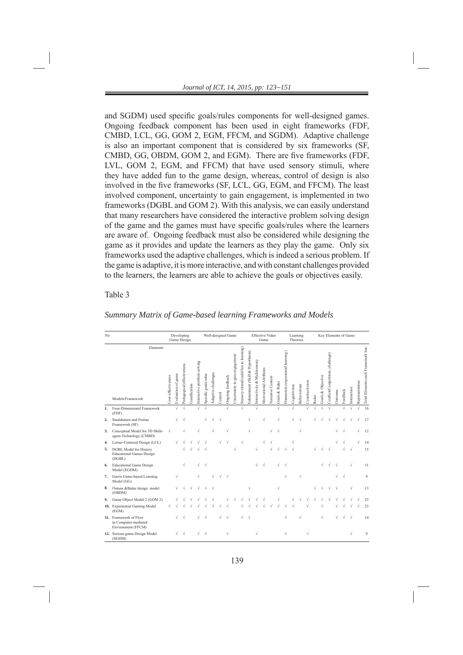and SGDM) used specific goals/rules components for well-designed games. Ongoing feedback component has been used in eight frameworks (FDF, CMBD, LCL, GG, GOM 2, EGM, FFCM, and SGDM). Adaptive challenge is also an important component that is considered by six frameworks (SF, CMBD, GG, OBDM, GOM 2, and EGM). There are five frameworks (FDF, LVL, GOM 2, EGM, and FFCM) that have used sensory stimuli, where they have added fun to the game design, whereas, control of design is also involved in the five frameworks (SF, LCL, GG, EGM, and FFCM). The least involved component, uncertainty to gain engagement, is implemented in two frameworks (DGBL and GOM 2). With this analysis, we can easily understand that many researchers have considered the interactive problem solving design of the game and the games must have specific goals/rules where the learners are aware of. Ongoing feedback must also be considered while designing the game as it provides and update the learners as they play the game. Only six frameworks used the adaptive challenges, which is indeed a serious problem. If the game is adaptive, it is more interactive, and with constant challenges provided to the learners, the learners are able to achieve the goals or objectives easily.

## Table 3

| No  |                                                                     |                    |                    | Developing<br>Game Design    |              |                             | Well-designed Game        |                     |         |                  |                                |                                       |                                  | <b>Effective Video</b><br>Game |                         |                   |               |                                  |             |             | Learning<br>Theories | Key Elements of Game |                   |                                  |         |           |             |                |                                    |  |
|-----|---------------------------------------------------------------------|--------------------|--------------------|------------------------------|--------------|-----------------------------|---------------------------|---------------------|---------|------------------|--------------------------------|---------------------------------------|----------------------------------|--------------------------------|-------------------------|-------------------|---------------|----------------------------------|-------------|-------------|----------------------|----------------------|-------------------|----------------------------------|---------|-----------|-------------|----------------|------------------------------------|--|
|     | Elements<br>Models/Framework                                        | Cost-effectiveness | Evaluation of game | effectiveness<br>Pedagogical | Gamification | Interactive problem solving | goals/rules<br>Specific g | Adaptive challenges | Control | Ongoing feedback | Uncertainty to gain engagement | Sensory stimuli (add fun to learning) | Edutainment (Skill & Hypothesis) | Interactivity & Multisensory   | Motivational Attributes | Narrative Context | Goals & Rules | Humanism (experiential learning) | Cognitivism | Behaviorism | Constructivism       | Rules                | Goals & Objective | Conflict(Competition, challenge) | Outcome | Feedback  | Interaction | Representation | Total Elements each Framework has: |  |
| 1.  | Four-Dimensional Framework<br>(FDF)                                 |                    | $\sqrt{ }$         |                              |              | J                           | $\sqrt{ }$                |                     |         | $\sqrt{ }$       |                                | ×1                                    |                                  |                                |                         |                   |               |                                  |             |             | J                    |                      |                   |                                  |         | $\sqrt{}$ |             | $\sqrt{ }$     | 16                                 |  |
| 2.  | Staalduinen and Freitas<br>Framework (SF)                           |                    |                    |                              |              |                             |                           |                     |         |                  |                                |                                       |                                  |                                |                         |                   |               |                                  |             |             |                      |                      |                   |                                  |         |           |             |                | 17                                 |  |
| 3.  | Conceptual Model for 3D Multi-<br>agent Technology (CMBD)           | N                  |                    |                              |              |                             |                           |                     |         |                  |                                |                                       |                                  |                                |                         |                   |               |                                  |             |             |                      |                      |                   |                                  |         |           |             |                | 12                                 |  |
| 4.  | Lerner-Centered Design (LCL)                                        |                    |                    |                              |              |                             |                           |                     |         |                  |                                |                                       |                                  |                                |                         |                   |               |                                  |             |             |                      |                      |                   |                                  |         |           |             |                | 14                                 |  |
| 5.  | DGBL Model for History<br><b>Educational Games Design</b><br>(DGBL) |                    |                    |                              |              |                             |                           |                     |         |                  |                                |                                       |                                  |                                |                         |                   |               |                                  |             |             |                      |                      |                   |                                  |         |           |             |                | 15                                 |  |
| 6.  | <b>Educational Game Design</b><br>Model (EGDM)                      |                    |                    |                              |              |                             |                           |                     |         |                  |                                |                                       |                                  | V                              |                         |                   |               |                                  |             |             |                      |                      |                   |                                  |         |           |             |                | 11                                 |  |
| 7.  | Garris Game-based Learning<br>Model (GG)                            |                    | N                  |                              |              |                             |                           |                     |         |                  |                                |                                       |                                  |                                |                         |                   |               | N                                |             |             |                      |                      |                   |                                  |         |           |             |                | 9                                  |  |
| 8.  | Osman &Bakar design model<br>(OBDM)                                 |                    |                    |                              |              |                             |                           |                     |         |                  |                                |                                       | $\sqrt{}$                        |                                |                         |                   | $\sqrt{}$     |                                  |             |             |                      |                      |                   |                                  |         |           |             |                | 13                                 |  |
| 9.  | Game Object Model 2 (GOM 2)                                         |                    |                    |                              |              |                             |                           |                     |         |                  |                                |                                       |                                  |                                |                         |                   |               |                                  |             |             |                      |                      |                   |                                  |         |           |             |                | 23                                 |  |
| 10. | <b>Experiential Gaming Model</b><br>(EGM)                           |                    |                    |                              |              |                             |                           |                     |         |                  |                                |                                       |                                  |                                |                         |                   |               |                                  |             |             |                      |                      |                   |                                  |         |           |             |                | 23                                 |  |
|     | 11. Framework of Flow<br>in Computer-mediated<br>Environment (FFCM) |                    |                    |                              |              |                             |                           |                     |         | $\sqrt{ }$       |                                |                                       |                                  |                                |                         |                   |               |                                  |             |             |                      |                      | $\sqrt{ }$        |                                  |         |           |             |                | 14                                 |  |
|     | 12. Serious-game Design Model<br>(SGDM)                             |                    | V                  |                              |              |                             |                           |                     |         |                  |                                |                                       |                                  | V                              |                         |                   |               | V                                |             |             | Ν                    |                      |                   |                                  |         |           |             |                | $\mathbf{Q}$                       |  |

#### *Summary Matrix of Game-based learning Frameworks and Models*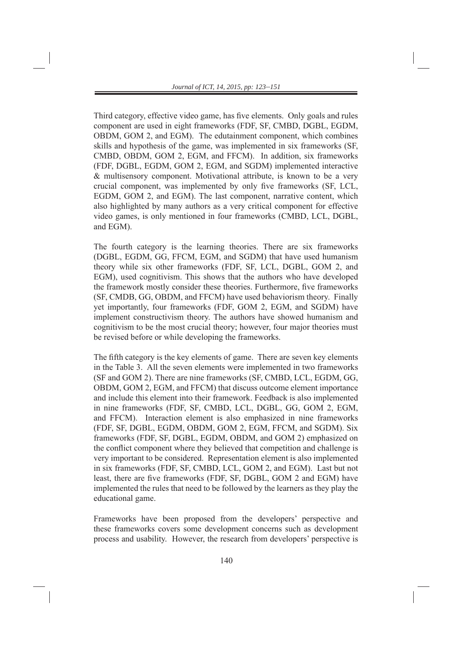Third category, effective video game, has five elements. Only goals and rules component are used in eight frameworks (FDF, SF, CMBD, DGBL, EGDM, OBDM, GOM 2, and EGM). The edutainment component, which combines skills and hypothesis of the game, was implemented in six frameworks (SF, CMBD, OBDM, GOM 2, EGM, and FFCM). In addition, six frameworks (FDF, DGBL, EGDM, GOM 2, EGM, and SGDM) implemented interactive & multisensory component. Motivational attribute, is known to be a very crucial component, was implemented by only five frameworks (SF, LCL, EGDM, GOM 2, and EGM). The last component, narrative content, which also highlighted by many authors as a very critical component for effective video games, is only mentioned in four frameworks (CMBD, LCL, DGBL, and EGM).

The fourth category is the learning theories. There are six frameworks (DGBL, EGDM, GG, FFCM, EGM, and SGDM) that have used humanism theory while six other frameworks (FDF, SF, LCL, DGBL, GOM 2, and EGM), used cognitivism. This shows that the authors who have developed the framework mostly consider these theories. Furthermore, five frameworks (SF, CMDB, GG, OBDM, and FFCM) have used behaviorism theory. Finally yet importantly, four frameworks (FDF, GOM 2, EGM, and SGDM) have implement constructivism theory. The authors have showed humanism and cognitivism to be the most crucial theory; however, four major theories must be revised before or while developing the frameworks.

The fifth category is the key elements of game. There are seven key elements in the Table 3. All the seven elements were implemented in two frameworks (SF and GOM 2). There are nine frameworks (SF, CMBD, LCL, EGDM, GG, OBDM, GOM 2, EGM, and FFCM) that discuss outcome element importance and include this element into their framework. Feedback is also implemented in nine frameworks (FDF, SF, CMBD, LCL, DGBL, GG, GOM 2, EGM, and FFCM). Interaction element is also emphasized in nine frameworks (FDF, SF, DGBL, EGDM, OBDM, GOM 2, EGM, FFCM, and SGDM). Six frameworks (FDF, SF, DGBL, EGDM, OBDM, and GOM 2) emphasized on the conflict component where they believed that competition and challenge is very important to be considered. Representation element is also implemented in six frameworks (FDF, SF, CMBD, LCL, GOM 2, and EGM). Last but not least, there are five frameworks (FDF, SF, DGBL, GOM 2 and EGM) have implemented the rules that need to be followed by the learners as they play the educational game.

Frameworks have been proposed from the developers' perspective and these frameworks covers some development concerns such as development process and usability. However, the research from developers' perspective is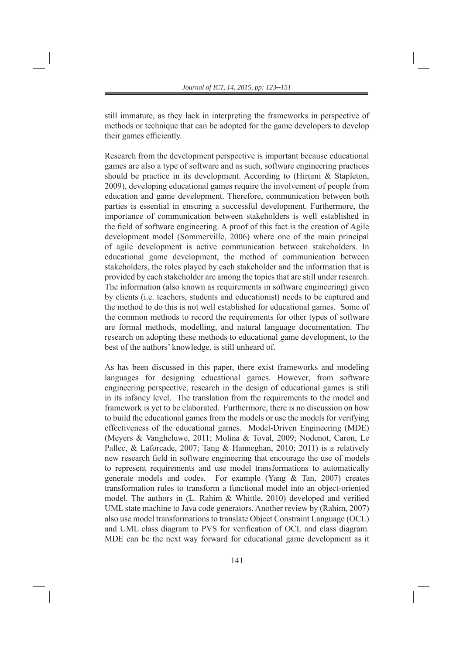still immature, as they lack in interpreting the frameworks in perspective of methods or technique that can be adopted for the game developers to develop their games efficiently.

Research from the development perspective is important because educational games are also a type of software and as such, software engineering practices should be practice in its development. According to (Hirumi & Stapleton, 2009), developing educational games require the involvement of people from education and game development. Therefore, communication between both parties is essential in ensuring a successful development. Furthermore, the importance of communication between stakeholders is well established in the field of software engineering. A proof of this fact is the creation of Agile development model (Sommerville, 2006) where one of the main principal of agile development is active communication between stakeholders. In educational game development, the method of communication between stakeholders, the roles played by each stakeholder and the information that is provided by each stakeholder are among the topics that are still under research. The information (also known as requirements in software engineering) given by clients (i.e. teachers, students and educationist) needs to be captured and the method to do this is not well established for educational games. Some of the common methods to record the requirements for other types of software are formal methods, modelling, and natural language documentation. The research on adopting these methods to educational game development, to the best of the authors' knowledge, is still unheard of.

As has been discussed in this paper, there exist frameworks and modeling languages for designing educational games. However, from software engineering perspective, research in the design of educational games is still in its infancy level. The translation from the requirements to the model and framework is yet to be elaborated. Furthermore, there is no discussion on how to build the educational games from the models or use the models for verifying effectiveness of the educational games. Model-Driven Engineering (MDE) (Meyers & Vangheluwe, 2011; Molina & Toval, 2009; Nodenot, Caron, Le Pallec, & Laforcade, 2007; Tang & Hanneghan, 2010; 2011) is a relatively new research field in software engineering that encourage the use of models to represent requirements and use model transformations to automatically generate models and codes. For example (Yang & Tan, 2007) creates transformation rules to transform a functional model into an object-oriented model. The authors in  $(L.$  Rahim  $&$  Whittle, 2010) developed and verified UML state machine to Java code generators. Another review by (Rahim, 2007) also use model transformations to translate Object Constraint Language (OCL) and UML class diagram to PVS for verification of OCL and class diagram. MDE can be the next way forward for educational game development as it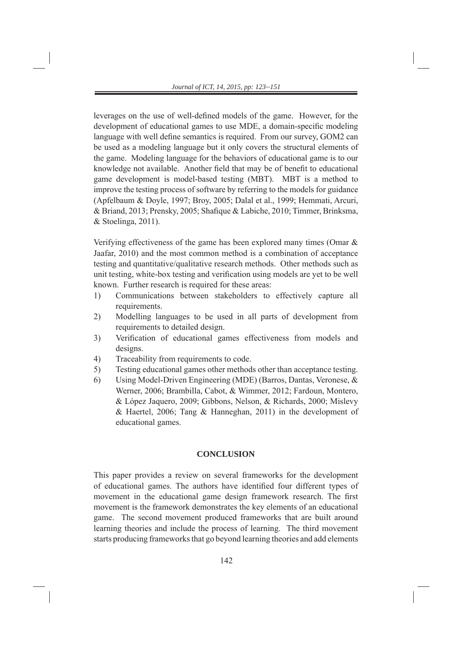leverages on the use of well-defined models of the game. However, for the development of educational games to use MDE, a domain-specific modeling language with well define semantics is required. From our survey, GOM2 can be used as a modeling language but it only covers the structural elements of the game. Modeling language for the behaviors of educational game is to our knowledge not available. Another field that may be of benefit to educational game development is model-based testing (MBT). MBT is a method to improve the testing process of software by referring to the models for guidance (Apfelbaum & Doyle, 1997; Broy, 2005; Dalal et al., 1999; Hemmati, Arcuri, & Briand, 2013; Prensky, 2005; Shafique & Labiche, 2010; Timmer, Brinksma, & Stoelinga, 2011).

Verifying effectiveness of the game has been explored many times (Omar & Jaafar, 2010) and the most common method is a combination of acceptance testing and quantitative/qualitative research methods. Other methods such as unit testing, white-box testing and verification using models are yet to be well known. Further research is required for these areas:

- 1) Communications between stakeholders to effectively capture all requirements.
- 2) Modelling languages to be used in all parts of development from requirements to detailed design.
- 3) Verification of educational games effectiveness from models and designs.
- 4) Traceability from requirements to code.
- 5) Testing educational games other methods other than acceptance testing.
- 6) Using Model-Driven Engineering (MDE) (Barros, Dantas, Veronese, & Werner, 2006; Brambilla, Cabot, & Wimmer, 2012; Fardoun, Montero, & López Jaquero, 2009; Gibbons, Nelson, & Richards, 2000; Mislevy & Haertel, 2006; Tang & Hanneghan, 2011) in the development of educational games.

# **CONCLUSION**

This paper provides a review on several frameworks for the development of educational games. The authors have identified four different types of movement in the educational game design framework research. The first movement is the framework demonstrates the key elements of an educational game. The second movement produced frameworks that are built around learning theories and include the process of learning. The third movement starts producing frameworks that go beyond learning theories and add elements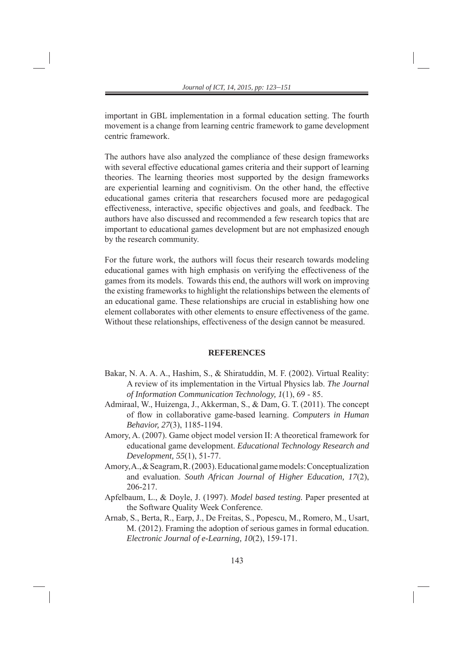important in GBL implementation in a formal education setting. The fourth movement is a change from learning centric framework to game development centric framework.

The authors have also analyzed the compliance of these design frameworks with several effective educational games criteria and their support of learning theories. The learning theories most supported by the design frameworks are experiential learning and cognitivism. On the other hand, the effective educational games criteria that researchers focused more are pedagogical effectiveness, interactive, specific objectives and goals, and feedback. The authors have also discussed and recommended a few research topics that are important to educational games development but are not emphasized enough by the research community.

For the future work, the authors will focus their research towards modeling educational games with high emphasis on verifying the effectiveness of the games from its models. Towards this end, the authors will work on improving the existing frameworks to highlight the relationships between the elements of an educational game. These relationships are crucial in establishing how one element collaborates with other elements to ensure effectiveness of the game. Without these relationships, effectiveness of the design cannot be measured.

#### **REFERENCES**

- Bakar, N. A. A. A., Hashim, S., & Shiratuddin, M. F. (2002). Virtual Reality: A review of its implementation in the Virtual Physics lab. *The Journal of Information Communication Technology, 1*(1), 69 - 85.
- Admiraal, W., Huizenga, J., Akkerman, S., & Dam, G. T. (2011). The concept of flow in collaborative game-based learning. *Computers in Human Behavior, 27*(3), 1185-1194.
- Amory, A. (2007). Game object model version II: A theoretical framework for educational game development. *Educational Technology Research and Development, 55*(1), 51-77.
- Amory, A., & Seagram, R. (2003). Educational game models: Conceptualization and evaluation. *South African Journal of Higher Education, 17*(2), 206-217.
- A pfelbaum, L., & Doyle, J. (1997). *Model based testing.* Paper presented at the Software Quality Week Conference.
- Arnab, S., Berta, R., Earp, J., De Freitas, S., Popescu, M., Romero, M., Usart, M. (2012). Framing the adoption of serious games in formal education. *Electronic Journal of e-Learning, 10*(2), 159-171.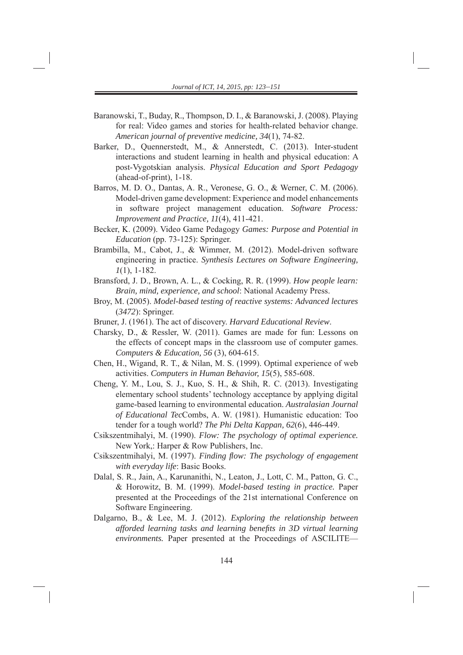- Baranowski, T., Buday, R., Thompson, D. I., & Baranowski, J. (2008). Playing for real: Video games and stories for health-related behavior change. *American journal of preventive medicine, 34*(1), 74-82.
- Barker, D., Quennerstedt, M., & Annerstedt, C. (2013). Inter-student interactions and student learning in health and physical education: A post-Vygotskian analysis. *Physical Education and Sport Pedagogy*  (ahead-of-print), 1-18.
- B arros, M. D. O., Dantas, A. R., Veronese, G. O., & Werner, C. M. (2006). Model-driven game development: Experience and model enhancements in software project management education. *Software Process: Improvement and Practice, 11*(4), 411-421.
- Becker, K. (2009). Video Game Pedagogy *Games: Purpose and Potential in Education* (pp. 73-125): Springer.
- Brambilla, M., Cabot, J., & Wimmer, M. (2012). Model-driven software engineering in practice. *Synthesis Lectures on Software Engineering, 1*(1), 1-182.
- Br ansford, J. D., Brown, A. L., & Cocking, R. R. (1999). *How people learn: Brain, mind, experience, and school*: National Academy Press.
- Broy, M. (2005). *Model-based testing of reactive systems: Advanced lectures* (*3472*): Springer.
- Bruner, J. (1961). The act of discovery. *Harvard Educational Review*.
- Charsky, D., & Ressler, W. (2011). Games are made for fun: Lessons on the effects of concept maps in the classroom use of computer games. *Computers & Education, 56* (3), 604-615.
- Chen, H., Wigand, R. T., & Nilan, M. S. (1999). Optimal experience of web activities. *Computers in Human Behavior, 15*(5), 585-608.
- Ch eng, Y. M., Lou, S. J., Kuo, S. H., & Shih, R. C. (2013). Investigating elementary school students' technology acceptance by applying digital game-based learning to environmental education. *Australasian Journal of Educational Tec*Combs, A. W. (198 1). Humanistic education: Too tender for a tough world? *The Phi Delta Kappan, 62*(6), 446-449.
- Csikszentmihalyi, M. (1990). *Flow: The psychology of optimal experience.* New York,: Harper & Row Publishers, Inc.
- Csikszentmihalyi, M. (1997). *Finding flow: The psychology of engagement with everyday life*: Basic Books.
- Dalal, S. R., Jain, A., Karunanithi, N., Leaton, J., Lott, C. M., Patton, G. C., & Horowitz, B. M. (1999). *Model-based testing in practice.* Paper presented at the Proceedings of the 21st international Conference on Software Engineering.
- Dalgarno, B., & Lee, M. J. (2012). *Exploring the relationship between afforded learning tasks and learning benefi ts in 3D virtual learning environments.* Paper presented at the Proceedings of ASCILITE—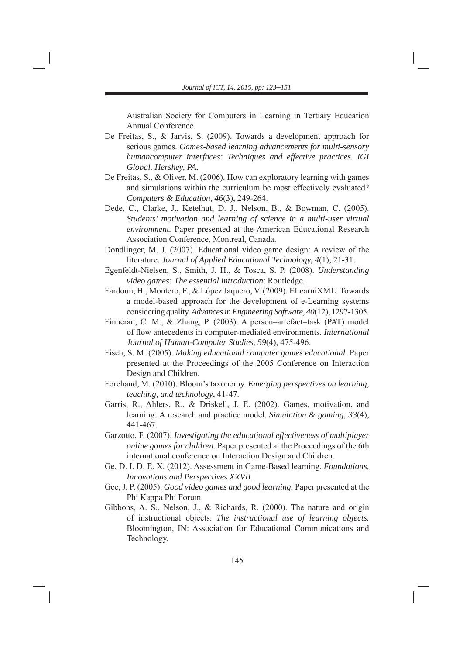Australian Society for Computers in Learning in Tertiary Education Annual Conference.

- De Freitas, S., & Jarvis, S. (2009). Towards a development approach for serious games. *Games-based learning advancements for multi-sensory humancomputer interfaces: Techniques and effective practices. IGI Global. Hershey, PA*.
- De Freitas, S., & Oliver, M. (2006). How can exploratory learning with games and simulations within the curriculum be most effectively evaluated? *Computers & Education, 46*(3), 249-264.
- Dede, C., Clarke,J., Ketelhut, D. J., Nelson, B., & Bowman, C. (2005). *Students' motivation and learning of science in a multi-user virtual environment.* Paper presented at the American Educational Research Association Conference, Montreal, Canada.
- Dondlinger, M. J. (2007). Educational video game design: A review of the literature. *Journal of Applied Educational Technology, 4*(1), 21-31.
- Egenfeldt-Nielsen , S., Smith, J. H., & Tosca, S. P. (2008). *Understanding video games: The essential introduction*: Routledge.
- Fardoun, H., Montero, F., & López Jaquero, V. (2009). ELearniXML: Towards a model-based approach for the development of e-Learning systems considering quality. *Advances in Engineering Software, 40*(12), 1297-1305.
- Finneran, C. M., & Zhang, P. (2003). A person–artefact–task (PAT) model of flow antecedents in computer-mediated environments. *International Journal of Human-Computer Studies, 59*(4), 475-496.
- Fisch, S. M. (2005 ). *Making educational computer games educational.* Paper presented at the Proceedings of the 2005 Conference on Interaction Design and Children.
- Forehand, M. (2010). Bloom's taxonomy. *Emerging perspectives on learning*, *teaching, and technology*, 41-47.
- Garris, R., Ahlers, R., & Driskell, J. E. (2002). Games, motivation, and learning: A research and practice model. *Simulation & gaming, 33*(4), 441-467.
- Garzotto, F. (2007 ). *Investigating the educational effectiveness of multiplayer online games for children.* Paper presented at the Proceedings of the 6th international conference on Interaction Design and Children.
- Ge, D. I. D. E. X. (2012). Assessment in Game-Based learning. *Foundations, Innovations and Perspectives XXVII*.
- Gee, J. P. (2005). *Good video games and good learning.* Paper presented at the Phi Kappa Phi Forum.
- Gibbons, A. S., Nelson, J., & Richards, R. (2000). The nature and origin of instructional objects. *The instructional use of learning objects.*  Bloomington, IN: Association for Educational Communications and Technology.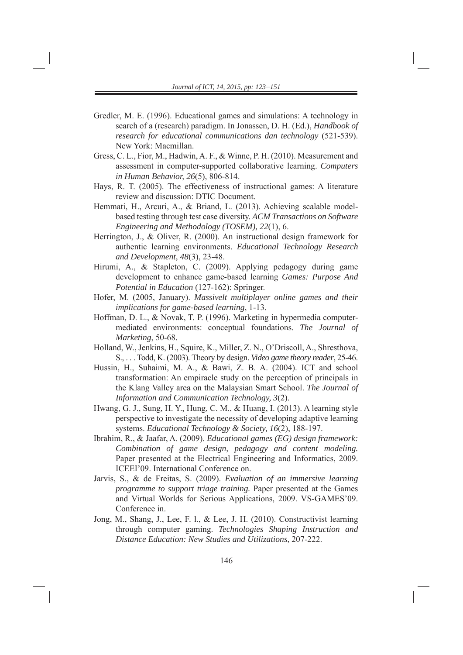- Gredler, M. E. (1996). Educational games and simulations: A technology in search of a (research) paradigm. In Jonassen, D. H. (Ed.), *Handbook of research for educational communications dan technology* (521-539). New York: Macmillan.
- Gress, C. L., Fior , M., Hadwin, A. F., & Winne, P. H. (2010). Measurement and assessment in computer-supported collaborative learning. *Computers in Human Behavior, 26*(5), 806-814.
- Hays, R. T. (2005). The effectiveness of instructional games: A literature review and discussion: DTIC Document.
- Hemmati, H., Arcuri, A., & Briand, L. (2013). Achieving scalable modelbased testing through test case diversity. *ACM Transactions on Software Engineering and Methodology (TOSEM), 22*(1), 6.
- Herrington, J., & Oliver, R. (2000). An instructional design framework for authentic learning environments. *Educational Technology Research and Development, 48*(3), 23-48.
- Hirumi, A., & Stapleton, C. (2009). Applying pedagogy during game development to enhance game-based learning *Games: Purpose And Potential in Education* (127-162): Springer.
- Hofer, M. (2005, January). *Massivelt multiplayer online games and their implications for game-based learning*, 1-13.
- Hoffman, D. L., & Novak, T. P. (1996). Marketing in hypermedia computermediated environments: conceptual foundations. *The Journal of Marketing*, 50-68.
- Holland, W., Jenkins, H., Squire, K., Miller, Z. N., O'Driscoll, A., Shresthova, S., . . . Todd, K. (2003). Theory by design. *Video game theory reader*, 25-46.
- Hussin, H., Suhaimi, M. A., & Bawi, Z. B. A. (2004). ICT and school transformation: An empiracle study on the perception of principals in the Klang Valley area on the Malaysian Smart School. *The Journal of Information and Communication Technology, 3*(2).
- Hwang, G. J., Sung, H. Y., Hung, C. M., & Huang, I. (2013). A learning style perspective to investigate the necessity of developing adaptive learning systems. *Educational Technology & Society, 16*(2), 188-197.
- Ibrahim, R., & Jaafar, A. (2009). *Educational games (EG) design framework: Combination of game design, pedagogy and content modeling.* Paper presented at the Electrical Engineering and Informatics, 2009. ICEEI'09. International Conference on.
- Jarvis, S., & de Freitas, S. (2009). *Evaluation of an immersive learning programme to support triage training.* Paper presented at the Games and Virtual Worlds for Serious Applications, 2009. VS-GAMES'09. Conference in.
- Jong, M., Shang, J., Lee, F. l., & Lee, J. H. (2010). Constructivist learning through computer gaming. *Technologies Shaping Instruction and Distance Education: New Studies and Utilizations*, 207-222.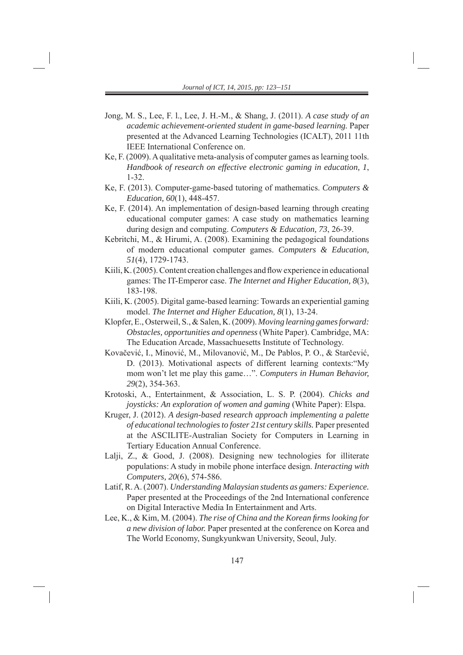- Jong, M. S., Lee, F. l., Lee, J. H.-M., & Shang, J. (2011). *A case study of an academic achievement-oriented student in game-based learning.* Paper presented at the Advanced Learning Technologies (ICALT), 2011 11th IEEE International Conference on.
- Ke, F. (2009). A qualitative meta-analysis of computer games as learning tools. *Handbook of research on effective electronic gaming in education, 1*, 1-32.
- Ke, F. (2013). Computer-game-based tutoring of mathematics. *Computers & Education, 60*(1), 448-457.
- Ke, F. (2014). An implementation of design-based learning through creating educational computer games: A case study on mathematics learning during design and computing. *Computers & Education, 73*, 26-39.
- Kebritchi, M., & Hirumi, A. (2008). Examining the pedagogical foundations of modern educational computer games. *Computers & Education, 51*(4), 1729-1743.
- Kiili, K. (2005). Content creation challenges and flow experience in educational games: The IT-Emperor case. *The Internet and Higher Education, 8*(3), 183-198.
- Kiili, K. (2005). Digital game-based learning: Towards an experiential gaming model. *The Internet and Higher Education, 8*(1), 13-24.
- Klopfer, E., Oster weil, S., & Salen, K. (2009). *Moving learning games forward: Obstacles, opportunities and openness* (White Paper). Cambridge, MA: The Education Arcade, Massachuesetts Institute of Technology.
- Kovačević, I., Minović, M., Milovanović, M., De Pablos, P. O., & Starčević, D. (2013). Motivational aspects of different learning contexts:"My mom won't let me play this game…". *Computers in Human Behavior, 29*(2), 354-363.
- Krotoski, A., Entertainment, & Association, L. S. P. (2004). *Chicks and joysticks: An exploration of women and gaming* (White Paper): Elspa.
- Kruger, J. (2012). *A design- based research approach implementing a palette of educational technologies to foster 21st century skills.* Paper presented at the ASCILITE-Australian Society for Computers in Learning in Tertiary Education Annual Conference.
- Lalji, Z., & Good, J. (2008). Designing new technologies for illiterate populations: A study in mobile phone interface design. *Interacting with Computers, 20*(6), 574-586.
- Latif, R. A. (2007). *Understanding Malaysian students as gamers: Experience.* Paper presented at the Proceedings of the 2nd International conference on Digital Interactive Media In Entertainment and Arts.
- Lee, K., & Kim, M. (2004). *The rise of China and the Korean firms looking for a new division of labor.* Paper presented at the conference on Korea and The World Economy, Sungkyunkwan University, Seoul, July.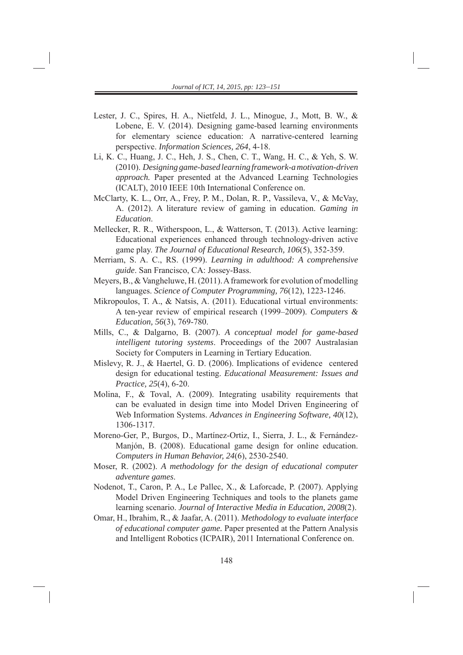- Lester, J. C., Spires, H. A., Nietfeld, J. L., Minogue, J., Mott, B. W., & Lobene, E. V. (2014). Designing game-based learning environments for elementary science education: A narrative-centered learning perspective. *Information Sciences, 264*, 4-18.
- Li, K. C., Huang, J. C., Heh, J. S., Chen, C. T., Wang, H. C., & Yeh, S. W. (2010). *Designing game-based learning framework-a motivation-driven approach.* Paper presented at the Advanced Learning Technologies (ICALT), 2010 IEEE 10th International Conference on.
- McClarty, K. L., Orr, A., Frey, P. M., Dolan, R. P., Vassileva, V., & McVay, A. (2012). A literature review of gaming in education. *Gaming in Education*.
- Mellecker, R. R., Witherspoon, L., & Watterson, T. (2013). Active learning: Educational experiences enhanced through technology-driven active game play. *The Journal of Educational Research, 106*(5), 352-359.
- Merriam, S. A. C., RS. (1999 ). *Learning in adulthood: A comprehensive guide*. San Francisco, CA: Jossey-Bass.
- Meyers, B., & Vangheluwe, H. (2011). A framework for evolution of modelling languages. *Science of Computer Programming, 76*(12), 1223-1246.
- Mikropoulos, T. A., & Natsis, A. (2011). Educational virtual environments: A ten-year review of empirical research (1999–2009). *Computers & Education, 56*(3), 769-780.
- Mills, C., & Dalgarno, B. (2007). *A conceptual model for game-based intelligent tutoring systems*. Proceedings of the 2007 Australasian Society for Computers in Learning in Tertiary Education.
- Mislevy, R. J., & Haertel, G. D. (2006). Implications of evidence centered design for educational testing. *Educational Measurement: Issues and Practice, 25*(4), 6-20.
- Molina, F., & Toval, A. (2009). Integrating usability requirements that can be evaluated in design time into Model Driven Engineering of Web Information Systems. *Advances in Engineering Software, 40*(12), 1306-1317.
- Moreno-Ger, P., Burgos, D., Martínez-Ortiz, I., Sierra, J. L., & Fernández-Manjón, B. (2008). Educational game design for online education. *Computers in Human Behavior, 24*(6), 2530-2540.
- Moser, R. (2002). *A methodology for the design of educational computer adventure games*.
- Nodenot, T., Caron, P. A., Le Pallec, X., & Laforcade, P. (2007). Applying Model Driven Engineering Techniques and tools to the planets game learning scenario. *Journal of Interactive Media in Education, 2008*(2).
- Omar, H., Ibrahim, R., & Jaafar, A. (2011). *Methodology to evaluate interface of educational computer game.* Paper presented at the Pattern Analysis and Intelligent Robotics (ICPAIR), 2011 International Conference on.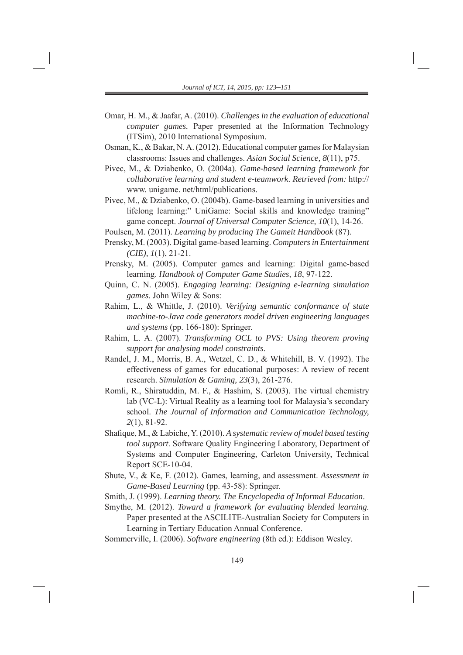- Omar, H. M., & Jaafar, A. (2010) . *Challenges in the evaluation of educational computer games.* Paper presented at the Information Technology (ITSim), 2010 International Symposium.
- Osman, K., & Bakar, N. A. (2012) . Educational computer games for Malaysian classrooms: Issues and challenges. *Asian Social Science, 8*(11), p75.
- Pivec, M., & Dziabenko, O. (2004a). *Game-based learning framework for collaborative learning and student e-teamwork*. *Retrieved from:* http:// www. unigame. net/html/publications.
- Pivec, M., & Dziabenko, O. (2004b). Game-based learning in universities and lifelong learning:" UniGame: Social skills and knowledge training" game concept. *Journal of Universal Computer Science, 10*(1), 14-26.
- Poulsen, M. (2011). *Learning by producing The Gameit Handbook* (87).
- Prensky, M. (2003). Digital game -based learning. *Computers in Entertainment (CIE), 1*(1), 21-21.
- Prensky, M. (2005). Computer games and learning: Digital game-based learning. *Handbook of Computer Game Studies, 18*, 97-122.
- Quinn, C. N. (2005). *Engaging learning: Designing e-learning simulation games*. John Wiley & Sons:
- Rahim, L., & Whittle, J. (2010). *Verifying semantic conformance of state machine-to-Java code generators model driven engineering languages and systems* (pp. 166-180): Springer.
- Rahim, L. A. (2007). *Transforming OCL to PVS: Using theorem proving support for analysing model constraints*.
- Randel, J. M., Morris, B. A., Wetzel, C. D., & Whitehill, B. V. (1992). The effectiveness of games for educational purposes: A review of recent research. *Simulation & Gaming, 23*(3), 261-276.
- Romli, R., Shiratuddin, M. F., & Hashim, S. (2003). The virtual chemistry lab (VC-L): Virtual Reality as a learning tool for Malaysia's secondary school. *The Journal of Information and Communication Technology, 2*(1), 81-92.
- Shafique, M., & Labiche, Y. (2010). A systematic review of model based testing *tool support*. Software Quality Engineering Laboratory, Department of Systems and Computer Engineering, Carleton University, Technical Report SCE-10-04.
- Shute, V., & Ke, F. (2012). Games, learning, and assessment. *Assessment in Game-Based Learning* (pp. 43-58): Springer.
- Smith, J. (1999). *Learning theory. The Encyclopedia of Informal Education*.
- Smythe, M. (2012). *Toward a framework for evaluating blended learning*. Paper presented at the ASCILITE-Australian Society for Computers in Learning in Tertiary Education Annual Conference.

Sommerville, I. (2006). *Software engineering* (8th ed.): Eddison Wesley.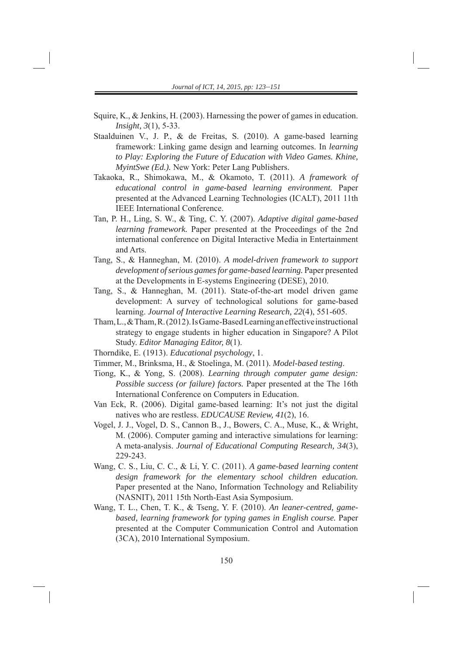- Squire, K., & Jenkins, H. (2003) . Harnessing the power of games in education. *Insight, 3*(1), 5-33.
- Staalduinen V., J. P., & de Freitas, S. (2010). A game-based learning framework: Linking game design and learning outcomes. In *learning to Play: Exploring the Future of Education with Video Games. Khine, MyintSwe (Ed.).* New York: Peter Lang Publishers.
- Takaoka, R., Shimokawa, M., & Ok amoto, T. (2011). *A framework of educational control in game-based learning environment.* Paper presented at the Advanced Learning Technologies (ICALT), 2011 11th IEEE International Conference.
- Tan, P. H., Ling, S. W., & Ting, C. Y. (2007). *Adaptive digital game-based learning framework.* Paper presented at the Proceedings of the 2nd international conference on Digital Interactive Media in Entertainment and Arts.
- Tang, S., & Hanneghan, M. (2010) . *A model-driven framework to support development of serious games for game-based learning.* Paper presented at the Developments in E-systems Engineering (DESE), 2010.
- Tang, S., & Hanneghan, M. (2011). State-of-the-art model driven game development: A survey of technological solutions for game-based learning. *Journal of Interactive Learning Research, 22*(4), 551-605.
- Tham, L., & Tham, R. (2012). Is Game-Based Learning an effective instructional strategy to engage students in higher education in Singapore? A Pilot Study. *Editor Managing Editor, 8*(1).
- Thorndike, E. (1913). *Educational psychology*, 1.
- Timmer, M., Brinksma, H., & Stoelinga, M. (2011). *Model-based testing*.
- Tiong, K., & Yong, S. (2008). *Le arning through computer game design: Possible success (or failure) factors.* Paper presented at the The 16th International Conference on Computers in Education.
- Van Eck, R. (2006). Digital game -based learning: It's not just the digital natives who are restless. *EDUCAUSE Review, 41*(2), 16.
- Vogel, J. J., Vogel, D. S., Cannon B., J., Bowers, C. A., Muse, K., & Wright, M. (2006). Computer gaming and interactive simulations for learning: A meta-analysis. *Journal of Educational Computing Research, 34*(3), 229-243.
- Wang, C. S., Liu, C. C., & Li, Y . C. (2011). *A game-based learning content design framework for the elementary school children education.* Paper presented at the Nano, Information Technology and Reliability (NASNIT), 2011 15th North-East Asia Symposium.
- Wang, T. L., Chen, T. K., & Tseng, Y. F. (2010). *An leaner-centred, gamebased, learning framework for typing games in English course.* Paper presented at the Computer Communication Control and Automation (3CA), 2010 International Symposium.